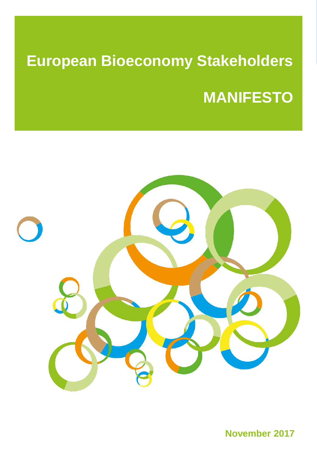# **European Bioeconomy Stakeholders MANIFESTO**



**November 2017**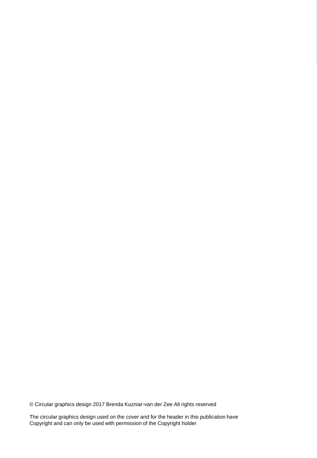© Circular graphics design 2017 Brenda Kuzniar-van der Zee All rights reserved

The circular graphics design used on the cover and for the header in this publication have Copyright and can only be used with permission of the Copyright holder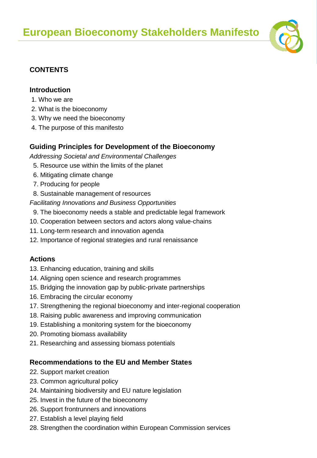

# **CONTENTS**

#### **Introduction**

- 1. Who we are
- 2. What is the bioeconomy
- 3. Why we need the bioeconomy
- 4. The purpose of this manifesto

# **Guiding Principles for Development of the Bioeconomy**

*Addressing Societal and Environmental Challenges*

- 5. Resource use within the limits of the planet
- 6. Mitigating climate change
- 7. Producing for people
- 8. Sustainable management of resources

*Facilitating Innovations and Business Opportunities*

- 9. The bioeconomy needs a stable and predictable legal framework
- 10. Cooperation between sectors and actors along value-chains
- 11. Long-term research and innovation agenda
- 12. Importance of regional strategies and rural renaissance

# **Actions**

- 13. Enhancing education, training and skills
- 14. Aligning open science and research programmes
- 15. Bridging the innovation gap by public-private partnerships
- 16. Embracing the circular economy
- 17. Strengthening the regional bioeconomy and inter-regional cooperation
- 18. Raising public awareness and improving communication
- 19. Establishing a monitoring system for the bioeconomy
- 20. Promoting biomass availability
- 21. Researching and assessing biomass potentials

# **Recommendations to the EU and Member States**

- 22. Support market creation
- 23. Common agricultural policy
- 24. Maintaining biodiversity and EU nature legislation
- 25. Invest in the future of the bioeconomy
- 26. Support frontrunners and innovations
- 27. Establish a level playing field
- 28. Strengthen the coordination within European Commission services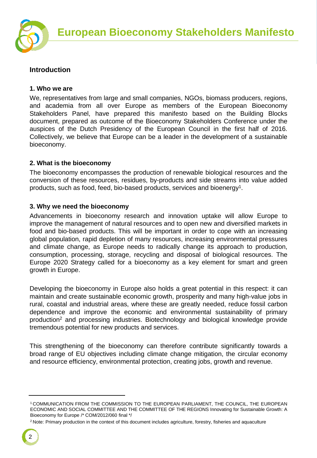

#### **Introduction**

#### **1. Who we are**

We, representatives from large and small companies, NGOs, biomass producers, regions, and academia from all over Europe as members of the European Bioeconomy Stakeholders Panel, have prepared this manifesto based on the Building Blocks document, prepared as outcome of the Bioeconomy Stakeholders Conference under the auspices of the Dutch Presidency of the European Council in the first half of 2016. Collectively, we believe that Europe can be a leader in the development of a sustainable bioeconomy.

#### **2. What is the bioeconomy**

The bioeconomy encompasses the production of renewable biological resources and the conversion of these resources, residues, by-products and side streams into value added products, such as food, feed, bio-based products, services and bioenergy<sup>1</sup>.

#### **3. Why we need the bioeconomy**

Advancements in bioeconomy research and innovation uptake will allow Europe to improve the management of natural resources and to open new and diversified markets in food and bio-based products. This will be important in order to cope with an increasing global population, rapid depletion of many resources, increasing environmental pressures and climate change, as Europe needs to radically change its approach to production, consumption, processing, storage, recycling and disposal of biological resources. The Europe 2020 Strategy called for a bioeconomy as a key element for smart and green growth in Europe.

Developing the bioeconomy in Europe also holds a great potential in this respect: it can maintain and create sustainable economic growth, prosperity and many high-value jobs in rural, coastal and industrial areas, where these are greatly needed, reduce fossil carbon dependence and improve the economic and environmental sustainability of primary production<sup>2</sup> and processing industries. Biotechnology and biological knowledge provide tremendous potential for new products and services.

This strengthening of the bioeconomy can therefore contribute significantly towards a broad range of EU objectives including climate change mitigation, the circular economy and resource efficiency, environmental protection, creating jobs, growth and revenue.

<sup>1</sup> COMMUNICATION FROM THE COMMISSION TO THE EUROPEAN PARLIAMENT, THE COUNCIL, THE EUROPEAN ECONOMIC AND SOCIAL COMMITTEE AND THE COMMITTEE OF THE REGIONS Innovating for Sustainable Growth: A Bioeconomy for Europe /\* COM/2012/060 final \*/

<sup>&</sup>lt;sup>2</sup> Note: Primary production in the context of this document includes agriculture, forestry, fisheries and aquaculture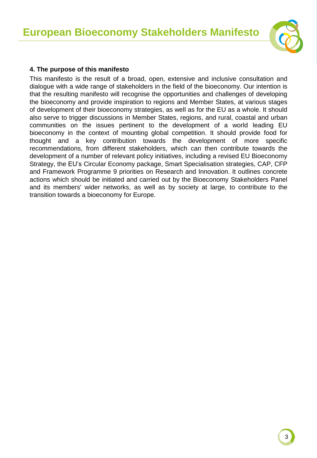

#### **4. The purpose of this manifesto**

This manifesto is the result of a broad, open, extensive and inclusive consultation and dialogue with a wide range of stakeholders in the field of the bioeconomy. Our intention is that the resulting manifesto will recognise the opportunities and challenges of developing the bioeconomy and provide inspiration to regions and Member States, at various stages of development of their bioeconomy strategies, as well as for the EU as a whole. It should also serve to trigger discussions in Member States, regions, and rural, coastal and urban communities on the issues pertinent to the development of a world leading EU bioeconomy in the context of mounting global competition. It should provide food for thought and a key contribution towards the development of more specific recommendations, from different stakeholders, which can then contribute towards the development of a number of relevant policy initiatives, including a revised EU Bioeconomy Strategy, the EU's Circular Economy package, Smart Specialisation strategies, CAP, CFP and Framework Programme 9 priorities on Research and Innovation. It outlines concrete actions which should be initiated and carried out by the Bioeconomy Stakeholders Panel and its members' wider networks, as well as by society at large, to contribute to the transition towards a bioeconomy for Europe.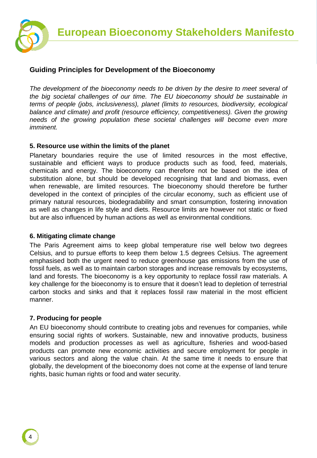

#### **Guiding Principles for Development of the Bioeconomy**

*The development of the bioeconomy needs to be driven by the desire to meet several of the big societal challenges of our time. The EU bioeconomy should be sustainable in terms of people (jobs, inclusiveness), planet (limits to resources, biodiversity, ecological balance and climate) and profit (resource efficiency, competitiveness). Given the growing needs of the growing population these societal challenges will become even more imminent.* 

#### **5. Resource use within the limits of the planet**

Planetary boundaries require the use of limited resources in the most effective, sustainable and efficient ways to produce products such as food, feed, materials, chemicals and energy. The bioeconomy can therefore not be based on the idea of substitution alone, but should be developed recognising that land and biomass, even when renewable, are limited resources. The bioeconomy should therefore be further developed in the context of principles of the circular economy, such as efficient use of primary natural resources, biodegradability and smart consumption, fostering innovation as well as changes in life style and diets. Resource limits are however not static or fixed but are also influenced by human actions as well as environmental conditions.

#### **6. Mitigating climate change**

The Paris Agreement aims to keep global temperature rise well below two degrees Celsius, and to pursue efforts to keep them below 1.5 degrees Celsius. The agreement emphasised both the urgent need to reduce greenhouse gas emissions from the use of fossil fuels, as well as to maintain carbon storages and increase removals by ecosystems, land and forests. The bioeconomy is a key opportunity to replace fossil raw materials. A key challenge for the bioeconomy is to ensure that it doesn't lead to depletion of terrestrial carbon stocks and sinks and that it replaces fossil raw material in the most efficient manner.

#### **7. Producing for people**

An EU bioeconomy should contribute to creating jobs and revenues for companies, while ensuring social rights of workers. Sustainable, new and innovative products, business models and production processes as well as agriculture, fisheries and wood-based products can promote new economic activities and secure employment for people in various sectors and along the value chain. At the same time it needs to ensure that globally, the development of the bioeconomy does not come at the expense of land tenure rights, basic human rights or food and water security.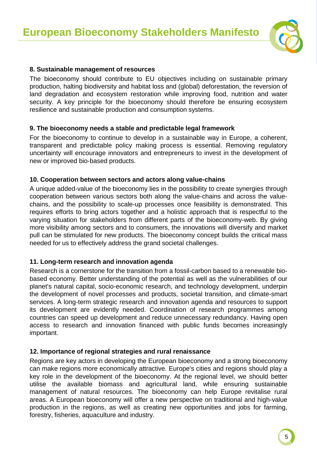

#### **8. Sustainable management of resources**

The bioeconomy should contribute to EU objectives including on sustainable primary production, halting biodiversity and habitat loss and (global) deforestation, the reversion of land degradation and ecosystem restoration while improving food, nutrition and water security. A key principle for the bioeconomy should therefore be ensuring ecosystem resilience and sustainable production and consumption systems.

#### **9. The bioeconomy needs a stable and predictable legal framework**

For the bioeconomy to continue to develop in a sustainable way in Europe, a coherent, transparent and predictable policy making process is essential. Removing regulatory uncertainty will encourage innovators and entrepreneurs to invest in the development of new or improved bio-based products.

#### **10. Cooperation between sectors and actors along value-chains**

A unique added-value of the bioeconomy lies in the possibility to create synergies through cooperation between various sectors both along the value-chains and across the valuechains, and the possibility to scale-up processes once feasibility is demonstrated. This requires efforts to bring actors together and a holistic approach that is respectful to the varying situation for stakeholders from different parts of the bioeconomy-web. By giving more visibility among sectors and to consumers, the innovations will diversify and market pull can be stimulated for new products. The bioeconomy concept builds the critical mass needed for us to effectively address the grand societal challenges.

#### **11. Long-term research and innovation agenda**

Research is a cornerstone for the transition from a fossil-carbon based to a renewable biobased economy. Better understanding of the potential as well as the vulnerabilities of our planet's natural capital, socio-economic research, and technology development, underpin the development of novel processes and products, societal transition, and climate-smart services. A long-term strategic research and innovation agenda and resources to support its development are evidently needed. Coordination of research programmes among countries can speed up development and reduce unnecessary redundancy. Having open access to research and innovation financed with public funds becomes increasingly important.

#### **12. Importance of regional strategies and rural renaissance**

Regions are key actors in developing the European bioeconomy and a strong bioeconomy can make regions more economically attractive. Europe's cities and regions should play a key role in the development of the bioeconomy. At the regional level, we should better utilise the available biomass and agricultural land, while ensuring sustainable management of natural resources. The bioeconomy can help Europe revitalise rural areas. A European bioeconomy will offer a new perspective on traditional and high-value production in the regions, as well as creating new opportunities and jobs for farming, forestry, fisheries, aquaculture and industry.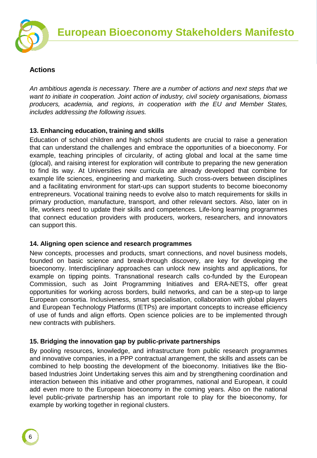

#### **Actions**

*An ambitious agenda is necessary. There are a number of actions and next steps that we want to initiate in cooperation. Joint action of industry, civil society organisations, biomass producers, academia, and regions, in cooperation with the EU and Member States, includes addressing the following issues.*

#### **13. Enhancing education, training and skills**

Education of school children and high school students are crucial to raise a generation that can understand the challenges and embrace the opportunities of a bioeconomy. For example, teaching principles of circularity, of acting global and local at the same time (glocal), and raising interest for exploration will contribute to preparing the new generation to find its way. At Universities new curricula are already developed that combine for example life sciences, engineering and marketing. Such cross-overs between disciplines and a facilitating environment for start-ups can support students to become bioeconomy entrepreneurs. Vocational training needs to evolve also to match requirements for skills in primary production, manufacture, transport, and other relevant sectors. Also, later on in life, workers need to update their skills and competences. Life-long learning programmes that connect education providers with producers, workers, researchers, and innovators can support this.

#### **14. Aligning open science and research programmes**

New concepts, processes and products, smart connections, and novel business models, founded on basic science and break-through discovery, are key for developing the bioeconomy. Interdisciplinary approaches can unlock new insights and applications, for example on tipping points. Transnational research calls co-funded by the European Commission, such as Joint Programming Initiatives and ERA-NETS, offer great opportunities for working across borders, build networks, and can be a step-up to large European consortia. Inclusiveness, smart specialisation, collaboration with global players and European Technology Platforms (ETPs) are important concepts to increase efficiency of use of funds and align efforts. Open science policies are to be implemented through new contracts with publishers.

# **15. Bridging the innovation gap by public-private partnerships**

By pooling resources, knowledge, and infrastructure from public research programmes and innovative companies, in a PPP contractual arrangement, the skills and assets can be combined to help boosting the development of the bioeconomy. Initiatives like the Biobased Industries Joint Undertaking serves this aim and by strengthening coordination and interaction between this initiative and other programmes, national and European, it could add even more to the European bioeconomy in the coming years. Also on the national level public-private partnership has an important role to play for the bioeconomy, for example by working together in regional clusters.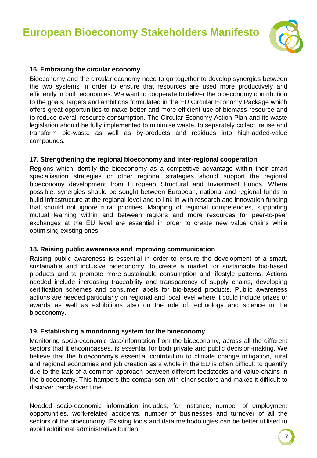

#### **16. Embracing the circular economy**

Bioeconomy and the circular economy need to go together to develop synergies between the two systems in order to ensure that resources are used more productively and efficiently in both economies. We want to cooperate to deliver the bioeconomy contribution to the goals, targets and ambitions formulated in the EU Circular Economy Package which offers great opportunities to make better and more efficient use of biomass resource and to reduce overall resource consumption. The Circular Economy Action Plan and its waste legislation should be fully implemented to minimise waste, to separately collect, reuse and transform bio-waste as well as by-products and residues into high-added-value compounds.

#### **17. Strengthening the regional bioeconomy and inter-regional cooperation**

Regions which identify the bioeconomy as a competitive advantage within their smart specialisation strategies or other regional strategies should support the regional bioeconomy development from European Structural and Investment Funds. Where possible, synergies should be sought between European, national and regional funds to build infrastructure at the regional level and to link in with research and innovation funding that should not ignore rural priorities. Mapping of regional competencies, supporting mutual learning within and between regions and more resources for peer-to-peer exchanges at the EU level are essential in order to create new value chains while optimising existing ones.

#### **18. Raising public awareness and improving communication**

Raising public awareness is essential in order to ensure the development of a smart, sustainable and inclusive bioeconomy, to create a market for sustainable bio-based products and to promote more sustainable consumption and lifestyle patterns. Actions needed include increasing traceability and transparency of supply chains, developing certification schemes and consumer labels for bio-based products. Public awareness actions are needed particularly on regional and local level where it could include prizes or awards as well as exhibitions also on the role of technology and science in the bioeconomy.

#### **19. Establishing a monitoring system for the bioeconomy**

Monitoring socio-economic data/information from the bioeconomy, across all the different sectors that it encompasses, is essential for both private and public decision-making. We believe that the bioeconomy's essential contribution to climate change mitigation, rural and regional economies and job creation as a whole in the EU is often difficult to quantify due to the lack of a common approach between different feedstocks and value-chains in the bioeconomy. This hampers the comparison with other sectors and makes it difficult to discover trends over time.

Needed socio-economic information includes, for instance, number of employment opportunities, work-related accidents, number of businesses and turnover of all the sectors of the bioeconomy. Existing tools and data methodologies can be better utilised to avoid additional administrative burden.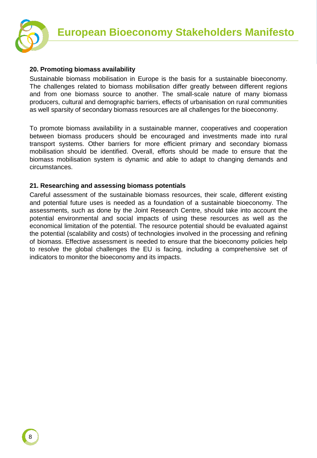

#### **20. Promoting biomass availability**

Sustainable biomass mobilisation in Europe is the basis for a sustainable bioeconomy. The challenges related to biomass mobilisation differ greatly between different regions and from one biomass source to another. The small-scale nature of many biomass producers, cultural and demographic barriers, effects of urbanisation on rural communities as well sparsity of secondary biomass resources are all challenges for the bioeconomy.

To promote biomass availability in a sustainable manner, cooperatives and cooperation between biomass producers should be encouraged and investments made into rural transport systems. Other barriers for more efficient primary and secondary biomass mobilisation should be identified. Overall, efforts should be made to ensure that the biomass mobilisation system is dynamic and able to adapt to changing demands and circumstances.

#### **21. Researching and assessing biomass potentials**

Careful assessment of the sustainable biomass resources, their scale, different existing and potential future uses is needed as a foundation of a sustainable bioeconomy. The assessments, such as done by the Joint Research Centre, should take into account the potential environmental and social impacts of using these resources as well as the economical limitation of the potential. The resource potential should be evaluated against the potential (scalability and costs) of technologies involved in the processing and refining of biomass. Effective assessment is needed to ensure that the bioeconomy policies help to resolve the global challenges the EU is facing, including a comprehensive set of indicators to monitor the bioeconomy and its impacts.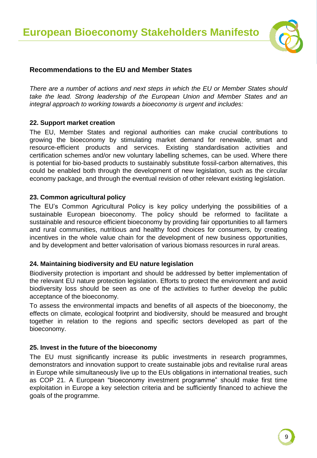

#### **Recommendations to the EU and Member States**

*There are a number of actions and next steps in which the EU or Member States should take the lead. Strong leadership of the European Union and Member States and an integral approach to working towards a bioeconomy is urgent and includes:*

#### **22. Support market creation**

The EU, Member States and regional authorities can make crucial contributions to growing the bioeconomy by stimulating market demand for renewable, smart and resource-efficient products and services. Existing standardisation activities and certification schemes and/or new voluntary labelling schemes, can be used. Where there is potential for bio-based products to sustainably substitute fossil-carbon alternatives, this could be enabled both through the development of new legislation, such as the circular economy package, and through the eventual revision of other relevant existing legislation.

#### **23. Common agricultural policy**

The EU's Common Agricultural Policy is key policy underlying the possibilities of a sustainable European bioeconomy. The policy should be reformed to facilitate a sustainable and resource efficient bioeconomy by providing fair opportunities to all farmers and rural communities, nutritious and healthy food choices for consumers, by creating incentives in the whole value chain for the development of new business opportunities, and by development and better valorisation of various biomass resources in rural areas.

#### **24. Maintaining biodiversity and EU nature legislation**

Biodiversity protection is important and should be addressed by better implementation of the relevant EU nature protection legislation. Efforts to protect the environment and avoid biodiversity loss should be seen as one of the activities to further develop the public acceptance of the bioeconomy.

To assess the environmental impacts and benefits of all aspects of the bioeconomy, the effects on climate, ecological footprint and biodiversity, should be measured and brought together in relation to the regions and specific sectors developed as part of the bioeconomy.

#### **25. Invest in the future of the bioeconomy**

The EU must significantly increase its public investments in research programmes, demonstrators and innovation support to create sustainable jobs and revitalise rural areas in Europe while simultaneously live up to the EUs obligations in international treaties, such as COP 21. A European "bioeconomy investment programme" should make first time exploitation in Europe a key selection criteria and be sufficiently financed to achieve the goals of the programme.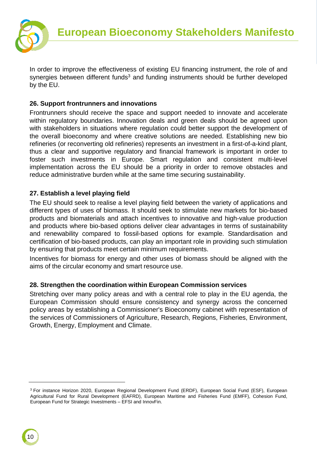

In order to improve the effectiveness of existing EU financing instrument, the role of and synergies between different funds<sup>3</sup> and funding instruments should be further developed by the EU.

#### **26. Support frontrunners and innovations**

Frontrunners should receive the space and support needed to innovate and accelerate within regulatory boundaries. Innovation deals and green deals should be agreed upon with stakeholders in situations where regulation could better support the development of the overall bioeconomy and where creative solutions are needed. Establishing new bio refineries (or reconverting old refineries) represents an investment in a first-of-a-kind plant, thus a clear and supportive regulatory and financial framework is important in order to foster such investments in Europe. Smart regulation and consistent multi-level implementation across the EU should be a priority in order to remove obstacles and reduce administrative burden while at the same time securing sustainability.

#### **27. Establish a level playing field**

The EU should seek to realise a level playing field between the variety of applications and different types of uses of biomass. It should seek to stimulate new markets for bio-based products and biomaterials and attach incentives to innovative and high-value production and products where bio-based options deliver clear advantages in terms of sustainability and renewability compared to fossil-based options for example. Standardisation and certification of bio-based products, can play an important role in providing such stimulation by ensuring that products meet certain minimum requirements.

Incentives for biomass for energy and other uses of biomass should be aligned with the aims of the circular economy and smart resource use.

#### **28. Strengthen the coordination within European Commission services**

Stretching over many policy areas and with a central role to play in the EU agenda, the European Commission should ensure consistency and synergy across the concerned policy areas by establishing a Commissioner's Bioeconomy cabinet with representation of the services of Commissioners of Agriculture, Research, Regions, Fisheries, Environment, Growth, Energy, Employment and Climate.

<sup>3</sup> For instance Horizon 2020, European Regional Development Fund (ERDF), European Social Fund (ESF), European Agricultural Fund for Rural Development (EAFRD), European Maritime and Fisheries Fund (EMFF), Cohesion Fund, European Fund for Strategic Investments – EFSI and InnovFin.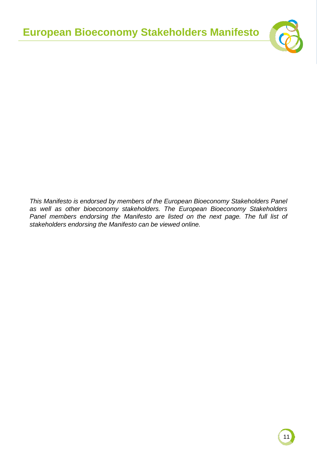

*This Manifesto is endorsed by members of the European Bioeconomy Stakeholders Panel as well as other bioeconomy stakeholders. The European Bioeconomy Stakeholders Panel members endorsing the Manifesto are listed on the next page. The full list of stakeholders endorsing the Manifesto can be viewed online.*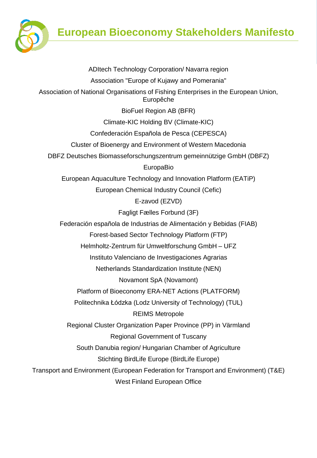

**European Bioeconomy Stakeholders Manifesto**

ADItech Technology Corporation/ Navarra region Association "Europe of Kujawy and Pomerania" Association of National Organisations of Fishing Enterprises in the European Union, Europêche BioFuel Region AB (BFR) Climate-KIC Holding BV (Climate-KIC) Confederación Española de Pesca (CEPESCA) Cluster of Bioenergy and Environment of Western Macedonia DBFZ Deutsches Biomasseforschungszentrum gemeinnützige GmbH (DBFZ) EuropaBio European Aquaculture Technology and Innovation Platform (EATiP) European Chemical Industry Council (Cefic) E-zavod (EZVD) Fagligt Fælles Forbund (3F) Federación española de Industrias de Alimentación y Bebidas (FIAB) Forest-based Sector Technology Platform (FTP) Helmholtz-Zentrum für Umweltforschung GmbH – UFZ Instituto Valenciano de Investigaciones Agrarias Netherlands Standardization Institute (NEN) Novamont SpA (Novamont) Platform of Bioeconomy ERA-NET Actions (PLATFORM) Politechnika Łódzka (Lodz University of Technology) (TUL) REIMS Metropole Regional Cluster Organization Paper Province (PP) in Värmland Regional Government of Tuscany South Danubia region/ Hungarian Chamber of Agriculture Stichting BirdLife Europe (BirdLife Europe) Transport and Environment (European Federation for Transport and Environment) (T&E) West Finland European Office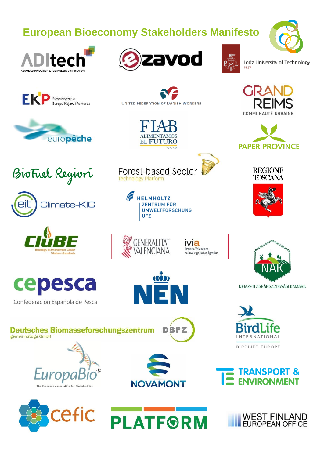# **European Bioeconomy Stakeholders Manifesto**











**UNITED FEDERATION OF DANISH WORKERS** 

EL FUTURO



Lodz University of Technology **PBTP** 





**REGIONE TOSCANA** 







cepesca

Confederación Española de Pesca



**HELMHOLTZ ZENTRUM FÜR UMWELTFORSCHUNG UFZ** 





<u>con</u>

Valenciano **Investigaciones Agrarias** 



INTERNATIONAL BIRDLIFE EUROPE



**Deutsches Biomasseforschungszentrum** 



**DBFZ** 







**TRANSPORT &**<br>ENVIRONMENT